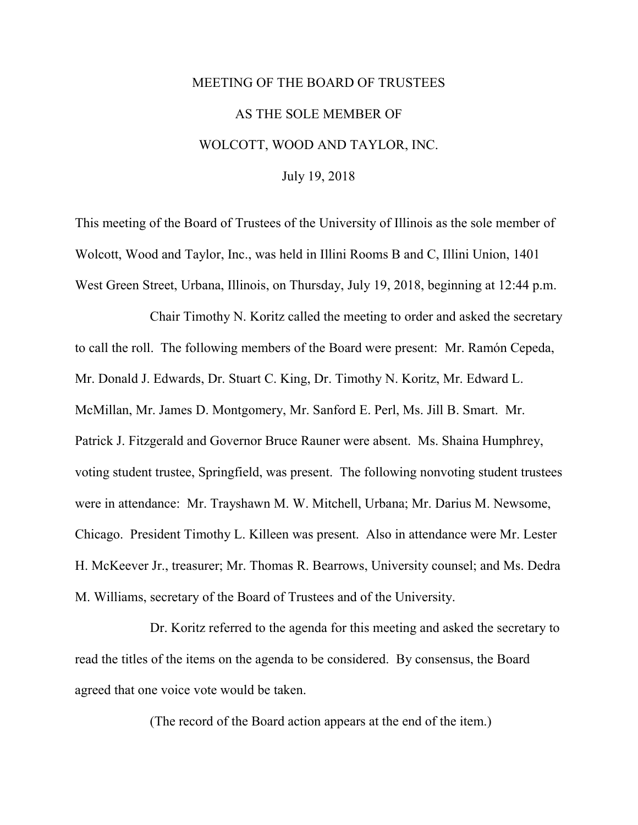## MEETING OF THE BOARD OF TRUSTEES AS THE SOLE MEMBER OF WOLCOTT, WOOD AND TAYLOR, INC. July 19, 2018

This meeting of the Board of Trustees of the University of Illinois as the sole member of Wolcott, Wood and Taylor, Inc., was held in Illini Rooms B and C, Illini Union, 1401 West Green Street, Urbana, Illinois, on Thursday, July 19, 2018, beginning at 12:44 p.m.

Chair Timothy N. Koritz called the meeting to order and asked the secretary to call the roll. The following members of the Board were present: Mr. Ramón Cepeda, Mr. Donald J. Edwards, Dr. Stuart C. King, Dr. Timothy N. Koritz, Mr. Edward L. McMillan, Mr. James D. Montgomery, Mr. Sanford E. Perl, Ms. Jill B. Smart. Mr. Patrick J. Fitzgerald and Governor Bruce Rauner were absent. Ms. Shaina Humphrey, voting student trustee, Springfield, was present. The following nonvoting student trustees were in attendance: Mr. Trayshawn M. W. Mitchell, Urbana; Mr. Darius M. Newsome, Chicago. President Timothy L. Killeen was present. Also in attendance were Mr. Lester H. McKeever Jr., treasurer; Mr. Thomas R. Bearrows, University counsel; and Ms. Dedra M. Williams, secretary of the Board of Trustees and of the University.

Dr. Koritz referred to the agenda for this meeting and asked the secretary to read the titles of the items on the agenda to be considered. By consensus, the Board agreed that one voice vote would be taken.

(The record of the Board action appears at the end of the item.)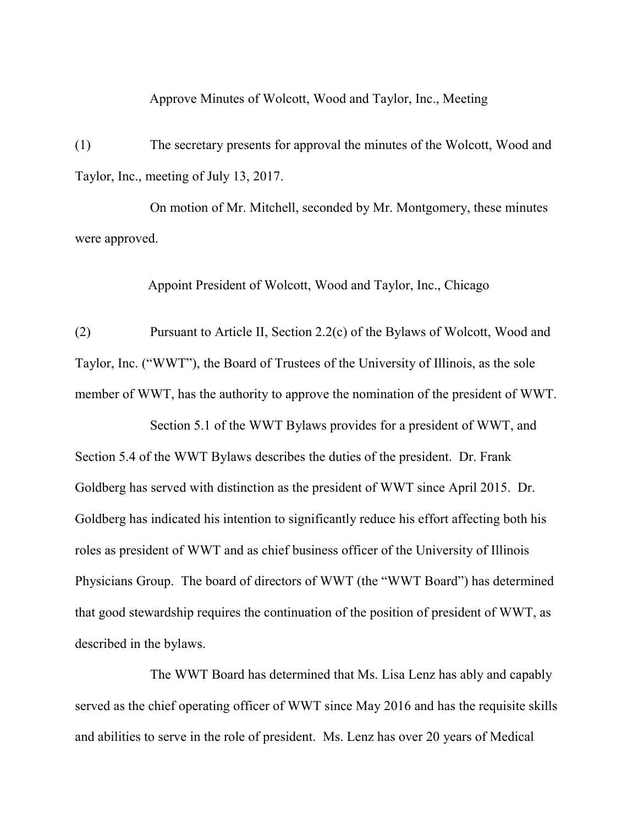Approve Minutes of Wolcott, Wood and Taylor, Inc., Meeting

(1) The secretary presents for approval the minutes of the Wolcott, Wood and Taylor, Inc., meeting of July 13, 2017.

On motion of Mr. Mitchell, seconded by Mr. Montgomery, these minutes were approved.

Appoint President of Wolcott, Wood and Taylor, Inc., Chicago

(2) Pursuant to Article II, Section 2.2(c) of the Bylaws of Wolcott, Wood and Taylor, Inc. ("WWT"), the Board of Trustees of the University of Illinois, as the sole member of WWT, has the authority to approve the nomination of the president of WWT.

Section 5.1 of the WWT Bylaws provides for a president of WWT, and Section 5.4 of the WWT Bylaws describes the duties of the president. Dr. Frank Goldberg has served with distinction as the president of WWT since April 2015. Dr. Goldberg has indicated his intention to significantly reduce his effort affecting both his roles as president of WWT and as chief business officer of the University of Illinois Physicians Group. The board of directors of WWT (the "WWT Board") has determined that good stewardship requires the continuation of the position of president of WWT, as described in the bylaws.

The WWT Board has determined that Ms. Lisa Lenz has ably and capably served as the chief operating officer of WWT since May 2016 and has the requisite skills and abilities to serve in the role of president. Ms. Lenz has over 20 years of Medical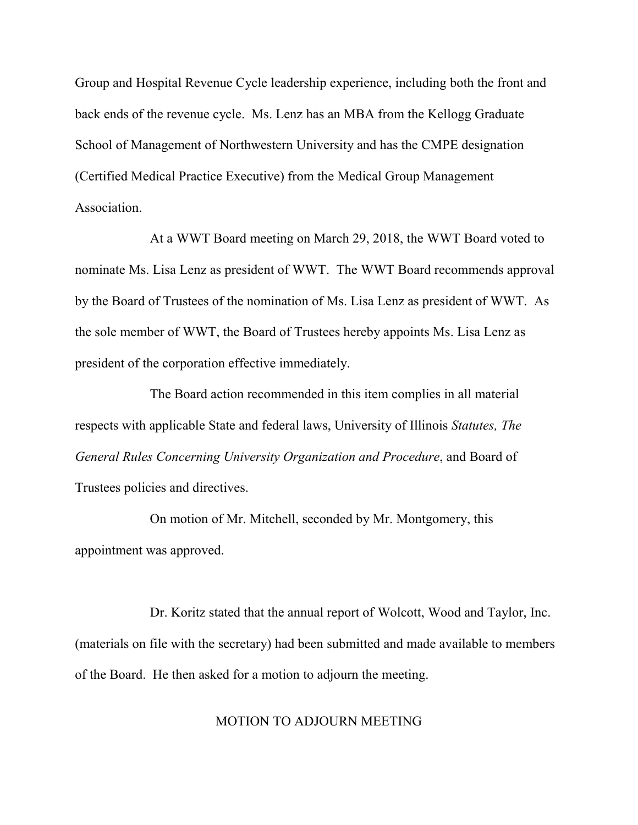Group and Hospital Revenue Cycle leadership experience, including both the front and back ends of the revenue cycle. Ms. Lenz has an MBA from the Kellogg Graduate School of Management of Northwestern University and has the CMPE designation (Certified Medical Practice Executive) from the Medical Group Management Association.

At a WWT Board meeting on March 29, 2018, the WWT Board voted to nominate Ms. Lisa Lenz as president of WWT. The WWT Board recommends approval by the Board of Trustees of the nomination of Ms. Lisa Lenz as president of WWT. As the sole member of WWT, the Board of Trustees hereby appoints Ms. Lisa Lenz as president of the corporation effective immediately.

The Board action recommended in this item complies in all material respects with applicable State and federal laws, University of Illinois *Statutes, The General Rules Concerning University Organization and Procedure*, and Board of Trustees policies and directives.

On motion of Mr. Mitchell, seconded by Mr. Montgomery, this appointment was approved.

Dr. Koritz stated that the annual report of Wolcott, Wood and Taylor, Inc. (materials on file with the secretary) had been submitted and made available to members of the Board. He then asked for a motion to adjourn the meeting.

## MOTION TO ADJOURN MEETING